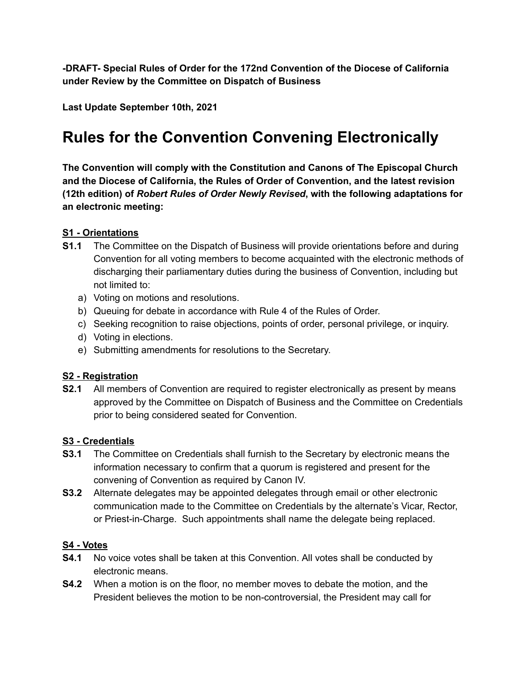**-DRAFT- Special Rules of Order for the 172nd Convention of the Diocese of California under Review by the Committee on Dispatch of Business**

**Last Update September 10th, 2021**

# **Rules for the Convention Convening Electronically**

**The Convention will comply with the Constitution and Canons of The Episcopal Church and the Diocese of California, the Rules of Order of Convention, and the latest revision (12th edition) of** *Robert Rules of Order Newly Revised***, with the following adaptations for an electronic meeting:**

### **S1 - Orientations**

- **S1.1** The Committee on the Dispatch of Business will provide orientations before and during Convention for all voting members to become acquainted with the electronic methods of discharging their parliamentary duties during the business of Convention, including but not limited to:
	- a) Voting on motions and resolutions.
	- b) Queuing for debate in accordance with Rule 4 of the Rules of Order.
	- c) Seeking recognition to raise objections, points of order, personal privilege, or inquiry.
	- d) Voting in elections.
	- e) Submitting amendments for resolutions to the Secretary.

#### **S2 - Registration**

**S2.1** All members of Convention are required to register electronically as present by means approved by the Committee on Dispatch of Business and the Committee on Credentials prior to being considered seated for Convention.

#### **S3 - Credentials**

- **S3.1** The Committee on Credentials shall furnish to the Secretary by electronic means the information necessary to confirm that a quorum is registered and present for the convening of Convention as required by Canon IV.
- **S3.2** Alternate delegates may be appointed delegates through email or other electronic communication made to the Committee on Credentials by the alternate's Vicar, Rector, or Priest-in-Charge. Such appointments shall name the delegate being replaced.

#### **S4 - Votes**

- **S4.1** No voice votes shall be taken at this Convention. All votes shall be conducted by electronic means.
- **S4.2** When a motion is on the floor, no member moves to debate the motion, and the President believes the motion to be non-controversial, the President may call for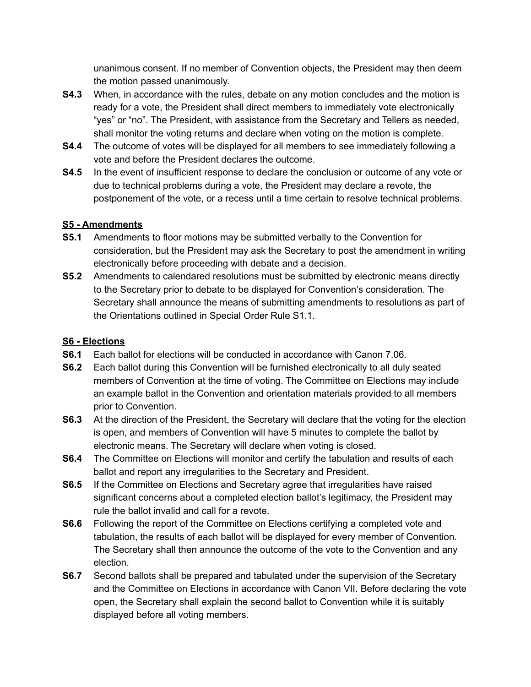unanimous consent. If no member of Convention objects, the President may then deem the motion passed unanimously.

- **S4.3** When, in accordance with the rules, debate on any motion concludes and the motion is ready for a vote, the President shall direct members to immediately vote electronically "yes" or "no". The President, with assistance from the Secretary and Tellers as needed, shall monitor the voting returns and declare when voting on the motion is complete.
- **S4.4** The outcome of votes will be displayed for all members to see immediately following a vote and before the President declares the outcome.
- **S4.5** In the event of insufficient response to declare the conclusion or outcome of any vote or due to technical problems during a vote, the President may declare a revote, the postponement of the vote, or a recess until a time certain to resolve technical problems.

#### **S5 - Amendments**

- **S5.1** Amendments to floor motions may be submitted verbally to the Convention for consideration, but the President may ask the Secretary to post the amendment in writing electronically before proceeding with debate and a decision.
- **S5.2** Amendments to calendared resolutions must be submitted by electronic means directly to the Secretary prior to debate to be displayed for Convention's consideration. The Secretary shall announce the means of submitting amendments to resolutions as part of the Orientations outlined in Special Order Rule S1.1.

## **S6 - Elections**

- **S6.1** Each ballot for elections will be conducted in accordance with Canon 7.06.
- **S6.2** Each ballot during this Convention will be furnished electronically to all duly seated members of Convention at the time of voting. The Committee on Elections may include an example ballot in the Convention and orientation materials provided to all members prior to Convention.
- **S6.3** At the direction of the President, the Secretary will declare that the voting for the election is open, and members of Convention will have 5 minutes to complete the ballot by electronic means. The Secretary will declare when voting is closed.
- **S6.4** The Committee on Elections will monitor and certify the tabulation and results of each ballot and report any irregularities to the Secretary and President.
- **S6.5** If the Committee on Elections and Secretary agree that irregularities have raised significant concerns about a completed election ballot's legitimacy, the President may rule the ballot invalid and call for a revote.
- **S6.6** Following the report of the Committee on Elections certifying a completed vote and tabulation, the results of each ballot will be displayed for every member of Convention. The Secretary shall then announce the outcome of the vote to the Convention and any election.
- **S6.7** Second ballots shall be prepared and tabulated under the supervision of the Secretary and the Committee on Elections in accordance with Canon VII. Before declaring the vote open, the Secretary shall explain the second ballot to Convention while it is suitably displayed before all voting members.